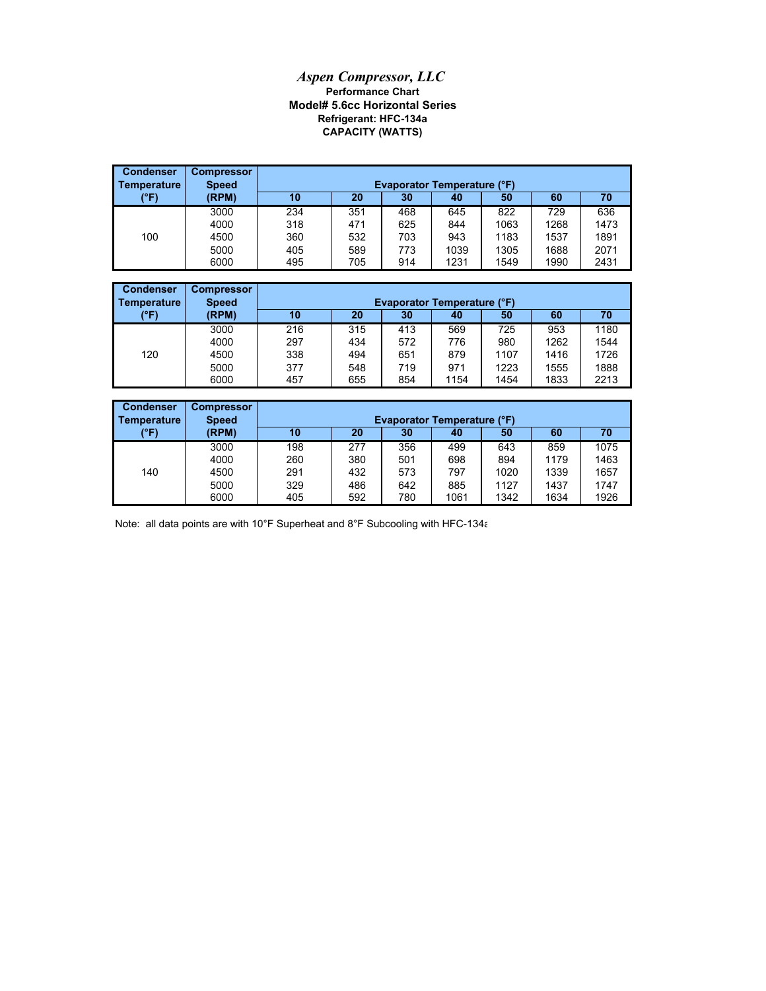## *Aspen Compressor, LLC* **Performance Chart Model# 5.6cc Horizontal Series CAPACITY (WATTS) Refrigerant: HFC-134a**

| <b>Condenser</b><br>Temperature | <b>Compressor</b><br><b>Speed</b> | <b>Evaporator Temperature (°F)</b> |     |     |      |      |      |      |
|---------------------------------|-----------------------------------|------------------------------------|-----|-----|------|------|------|------|
| (°F)                            | (RPM)                             | 10                                 | 20  | 30  | 40   | 50   | 60   | 70   |
|                                 | 3000                              | 234                                | 351 | 468 | 645  | 822  | 729  | 636  |
|                                 | 4000                              | 318                                | 471 | 625 | 844  | 1063 | 1268 | 1473 |
| 100                             | 4500                              | 360                                | 532 | 703 | 943  | 1183 | 1537 | 1891 |
|                                 | 5000                              | 405                                | 589 | 773 | 1039 | 1305 | 1688 | 2071 |
|                                 | 6000                              | 495                                | 705 | 914 | 1231 | 1549 | 1990 | 2431 |

| <b>Condenser</b> | <b>Compressor</b> |                                    |     |     |      |      |      |      |  |
|------------------|-------------------|------------------------------------|-----|-----|------|------|------|------|--|
| Temperature      | <b>Speed</b>      | <b>Evaporator Temperature (°F)</b> |     |     |      |      |      |      |  |
| (°F)             | (RPM)             | 10                                 | 20  | 30  | 40   | 50   | 60   | 70   |  |
|                  | 3000              | 216                                | 315 | 413 | 569  | 725  | 953  | 1180 |  |
|                  | 4000              | 297                                | 434 | 572 | 776  | 980  | 1262 | 1544 |  |
| 120              | 4500              | 338                                | 494 | 651 | 879  | 1107 | 1416 | 1726 |  |
|                  | 5000              | 377                                | 548 | 719 | 971  | 1223 | 1555 | 1888 |  |
|                  | 6000              | 457                                | 655 | 854 | 1154 | 1454 | 1833 | 2213 |  |

| <b>Condenser</b><br>Temperature | <b>Compressor</b><br><b>Speed</b> | <b>Evaporator Temperature (°F)</b> |     |     |      |      |      |      |  |
|---------------------------------|-----------------------------------|------------------------------------|-----|-----|------|------|------|------|--|
| (°F)                            | (RPM)                             | 10                                 | 20  | 30  | 40   | 50   | 60   | 70   |  |
|                                 | 3000                              | 198                                | 277 | 356 | 499  | 643  | 859  | 1075 |  |
|                                 | 4000                              | 260                                | 380 | 501 | 698  | 894  | 1179 | 1463 |  |
| 140                             | 4500                              | 291                                | 432 | 573 | 797  | 1020 | 1339 | 1657 |  |
|                                 | 5000                              | 329                                | 486 | 642 | 885  | 1127 | 1437 | 1747 |  |
|                                 | 6000                              | 405                                | 592 | 780 | 1061 | 1342 | 1634 | 1926 |  |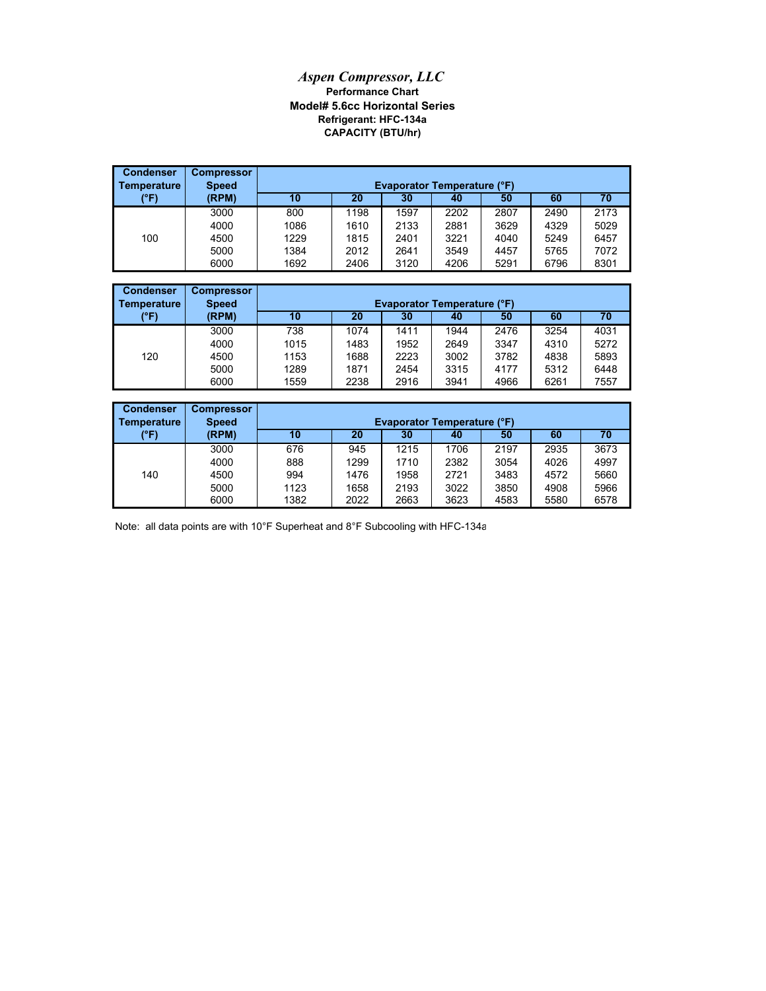## *Aspen Compressor, LLC* **Performance Chart Model# 5.6cc Horizontal Series Refrigerant: HFC-134a CAPACITY (BTU/hr)**

| <b>Condenser</b><br>Temperature | <b>Compressor</b><br><b>Speed</b> | <b>Evaporator Temperature (°F)</b> |      |      |      |      |      |      |  |
|---------------------------------|-----------------------------------|------------------------------------|------|------|------|------|------|------|--|
| (°F)                            | (RPM)                             | 10                                 | 20   | 30   | 40   | 50   | 60   | 70   |  |
|                                 | 3000                              | 800                                | 1198 | 1597 | 2202 | 2807 | 2490 | 2173 |  |
|                                 | 4000                              | 1086                               | 1610 | 2133 | 2881 | 3629 | 4329 | 5029 |  |
| 100                             | 4500                              | 1229                               | 1815 | 2401 | 3221 | 4040 | 5249 | 6457 |  |
|                                 | 5000                              | 1384                               | 2012 | 2641 | 3549 | 4457 | 5765 | 7072 |  |
|                                 | 6000                              | 1692                               | 2406 | 3120 | 4206 | 5291 | 6796 | 8301 |  |

| <b>Condenser</b><br><b>Temperature</b> | <b>Compressor</b><br><b>Speed</b> | <b>Evaporator Temperature (°F)</b> |      |      |      |      |      |      |  |
|----------------------------------------|-----------------------------------|------------------------------------|------|------|------|------|------|------|--|
| (°F)                                   | (RPM)                             | 10                                 | 20   | 30   | 40   | 50   | 60   | 70   |  |
|                                        | 3000                              | 738                                | 1074 | 1411 | 1944 | 2476 | 3254 | 4031 |  |
|                                        | 4000                              | 1015                               | 1483 | 1952 | 2649 | 3347 | 4310 | 5272 |  |
| 120                                    | 4500                              | 1153                               | 1688 | 2223 | 3002 | 3782 | 4838 | 5893 |  |
|                                        | 5000                              | 1289                               | 1871 | 2454 | 3315 | 4177 | 5312 | 6448 |  |
|                                        | 6000                              | 1559                               | 2238 | 2916 | 3941 | 4966 | 6261 | 7557 |  |

| <b>Condenser</b><br><b>Temperature</b> | <b>Compressor</b><br><b>Speed</b> | <b>Evaporator Temperature (°F)</b>     |      |      |      |      |      |      |  |  |
|----------------------------------------|-----------------------------------|----------------------------------------|------|------|------|------|------|------|--|--|
| (°F)                                   | (RPM)                             | 60<br>10<br>20<br>50<br>70<br>30<br>40 |      |      |      |      |      |      |  |  |
|                                        | 3000                              | 676                                    | 945  | 1215 | 1706 | 2197 | 2935 | 3673 |  |  |
|                                        | 4000                              | 888                                    | 1299 | 1710 | 2382 | 3054 | 4026 | 4997 |  |  |
| 140                                    | 4500                              | 994                                    | 1476 | 1958 | 2721 | 3483 | 4572 | 5660 |  |  |
|                                        | 5000                              | 1123                                   | 1658 | 2193 | 3022 | 3850 | 4908 | 5966 |  |  |
|                                        | 6000                              | 1382                                   | 2022 | 2663 | 3623 | 4583 | 5580 | 6578 |  |  |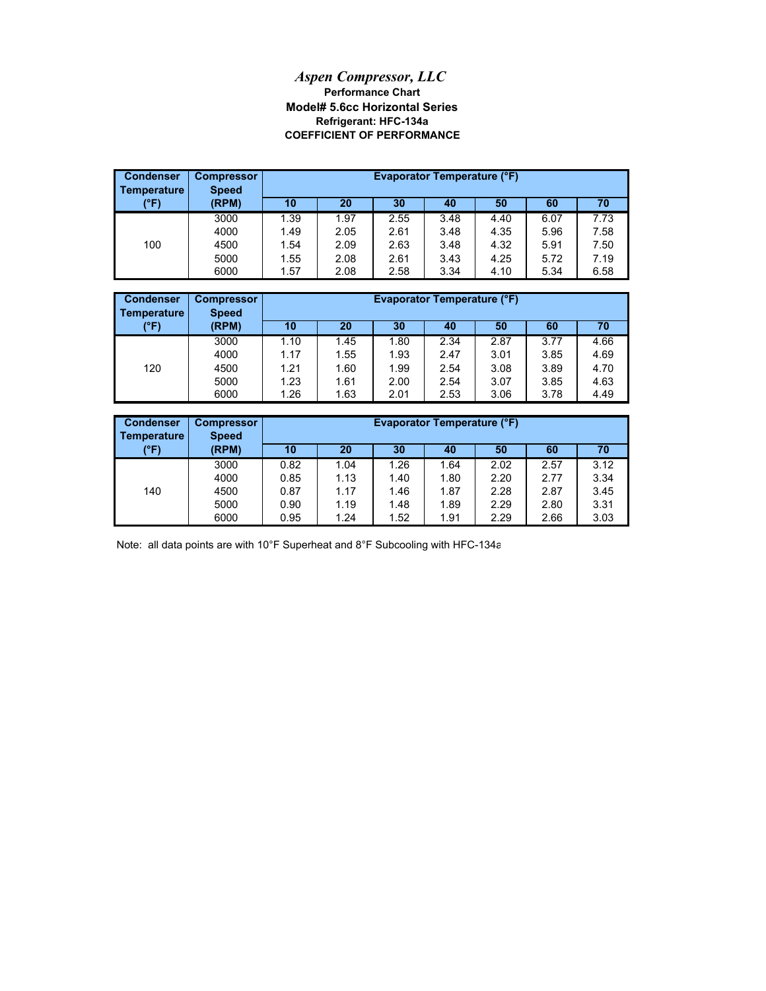## **Model# 5.6cc Horizontal Series** *Aspen Compressor, LLC* **Performance Chart COEFFICIENT OF PERFORMANCE Refrigerant: HFC-134a**

| <b>Condenser</b><br>Temperature | <b>Compressor</b><br><b>Speed</b> |      | <b>Evaporator Temperature (°F)</b><br>20<br>30<br>60<br>10<br>50<br>70<br>40<br>7.73<br>1.97<br>1.39<br>2.55<br>6.07<br>3.48<br>4.40 |      |      |      |      |      |  |
|---------------------------------|-----------------------------------|------|--------------------------------------------------------------------------------------------------------------------------------------|------|------|------|------|------|--|
| (°F)                            | (RPM)                             |      |                                                                                                                                      |      |      |      |      |      |  |
|                                 | 3000                              |      |                                                                                                                                      |      |      |      |      |      |  |
|                                 | 4000                              | 1.49 | 2.05                                                                                                                                 | 2.61 | 3.48 | 4.35 | 5.96 | 7.58 |  |
| 100                             | 4500                              | 1.54 | 2.09                                                                                                                                 | 2.63 | 3.48 | 4.32 | 5.91 | 7.50 |  |
|                                 | 5000                              | 1.55 | 2.08                                                                                                                                 | 2.61 | 3.43 | 4.25 | 5.72 | 7.19 |  |
|                                 | 6000                              | 1.57 | 2.08                                                                                                                                 | 2.58 | 3.34 | 4.10 | 5.34 | 6.58 |  |

| <b>Condenser</b><br>Temperature | <b>Compressor</b><br><b>Speed</b> | <b>Evaporator Temperature (°F)</b> |      |      |      |      |      |      |
|---------------------------------|-----------------------------------|------------------------------------|------|------|------|------|------|------|
| (°F)                            | (RPM)                             | 10                                 | 20   | 30   | 40   | 50   | 60   | 70   |
|                                 | 3000                              | 1.10                               | 1.45 | 1.80 | 2.34 | 2.87 | 3.77 | 4.66 |
|                                 | 4000                              | 1.17                               | 1.55 | 1.93 | 2.47 | 3.01 | 3.85 | 4.69 |
| 120                             | 4500                              | 1.21                               | 1.60 | 1.99 | 2.54 | 3.08 | 3.89 | 4.70 |
|                                 | 5000                              | 1.23                               | 1.61 | 2.00 | 2.54 | 3.07 | 3.85 | 4.63 |
|                                 | 6000                              | 1.26                               | 1.63 | 2.01 | 2.53 | 3.06 | 3.78 | 4.49 |

| <b>Condenser</b><br>Temperature | <b>Compressor</b><br><b>Speed</b> |      | Evaporator Temperature (°F) |      |      |      |      |      |  |
|---------------------------------|-----------------------------------|------|-----------------------------|------|------|------|------|------|--|
| (°F)                            | (RPM)                             | 10   | 20                          | 30   | 40   | 50   | 60   |      |  |
|                                 | 3000                              | 0.82 | 1.04                        | 1.26 | 1.64 | 2.02 | 2.57 | 3.12 |  |
|                                 | 4000                              | 0.85 | 1.13                        | 1.40 | 1.80 | 2.20 | 2.77 | 3.34 |  |
| 140                             | 4500                              | 0.87 | 1.17                        | 1.46 | 1.87 | 2.28 | 2.87 | 3.45 |  |
|                                 | 5000                              | 0.90 | 1.19                        | 1.48 | 1.89 | 2.29 | 2.80 | 3.31 |  |
|                                 | 6000                              | 0.95 | 1.24                        | 1.52 | 1.91 | 2.29 | 2.66 | 3.03 |  |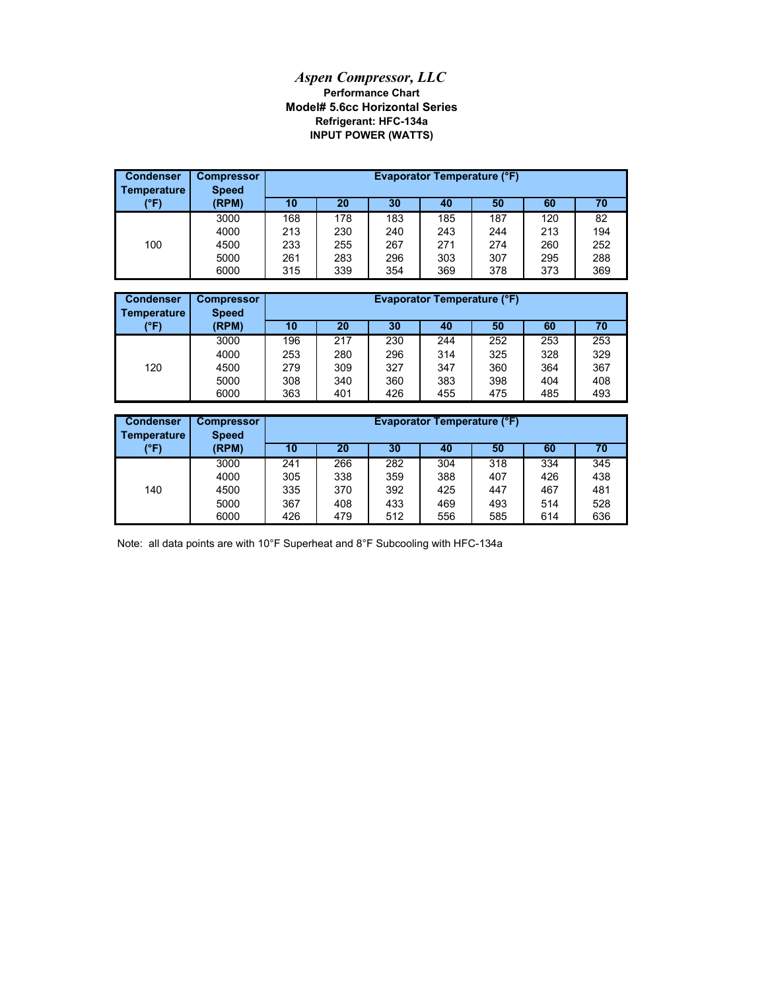## *Aspen Compressor, LLC* **Refrigerant: HFC-134a Model# 5.6cc Horizontal Series Performance Chart INPUT POWER (WATTS)**

| <b>Condenser</b><br><b>Temperature</b> | <b>Compressor</b><br><b>Speed</b> | <b>Evaporator Temperature (°F)</b><br>30<br>20<br>50<br>70<br>60<br>10<br>40<br>187<br>168<br>178<br>183<br>185<br>120<br>82<br>194<br>213<br>230<br>243<br>244<br>240<br>213 |     |     |     |     |     |     |
|----------------------------------------|-----------------------------------|-------------------------------------------------------------------------------------------------------------------------------------------------------------------------------|-----|-----|-----|-----|-----|-----|
| (°F)                                   | (RPM)                             |                                                                                                                                                                               |     |     |     |     |     |     |
|                                        | 3000                              |                                                                                                                                                                               |     |     |     |     |     |     |
|                                        | 4000                              |                                                                                                                                                                               |     |     |     |     |     |     |
| 100                                    | 4500                              | 233                                                                                                                                                                           | 255 | 267 | 271 | 274 | 260 | 252 |
|                                        | 5000                              | 261                                                                                                                                                                           | 283 | 296 | 303 | 307 | 295 | 288 |
|                                        | 6000                              | 315                                                                                                                                                                           | 339 | 354 | 369 | 378 | 373 | 369 |

| <b>Condenser</b><br>Temperature | <b>Compressor</b><br><b>Speed</b> | <b>Evaporator Temperature (°F)</b> |     |     |     |     |     |     |
|---------------------------------|-----------------------------------|------------------------------------|-----|-----|-----|-----|-----|-----|
| (°F)                            | (RPM)                             | 10                                 | 20  | 30  | 40  | 50  | 60  | 70  |
|                                 | 3000                              | 196                                | 217 | 230 | 244 | 252 | 253 | 253 |
|                                 | 4000                              | 253                                | 280 | 296 | 314 | 325 | 328 | 329 |
| 120                             | 4500                              | 279                                | 309 | 327 | 347 | 360 | 364 | 367 |
|                                 | 5000                              | 308                                | 340 | 360 | 383 | 398 | 404 | 408 |
|                                 | 6000                              | 363                                | 401 | 426 | 455 | 475 | 485 | 493 |

| <b>Condenser</b><br>Temperature | <b>Compressor</b><br><b>Speed</b> |     | <b>Evaporator Temperature (°F)</b> |     |     |     |     |     |  |
|---------------------------------|-----------------------------------|-----|------------------------------------|-----|-----|-----|-----|-----|--|
| (°F)                            | (RPM)                             | 10  | 20                                 | 30  | 40  | 50  | 60  | 70  |  |
|                                 | 3000                              | 241 | 266                                | 282 | 304 | 318 | 334 | 345 |  |
|                                 | 4000                              | 305 | 338                                | 359 | 388 | 407 | 426 | 438 |  |
| 140                             | 4500                              | 335 | 370                                | 392 | 425 | 447 | 467 | 481 |  |
|                                 | 5000                              | 367 | 408                                | 433 | 469 | 493 | 514 | 528 |  |
|                                 | 6000                              | 426 | 479                                | 512 | 556 | 585 | 614 | 636 |  |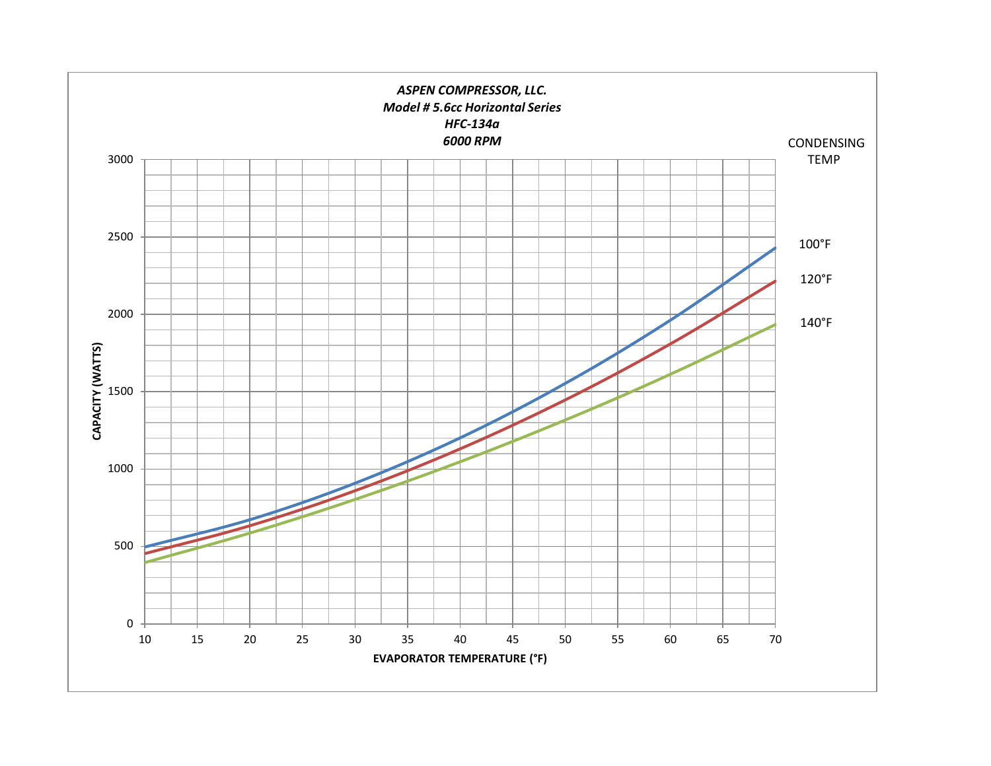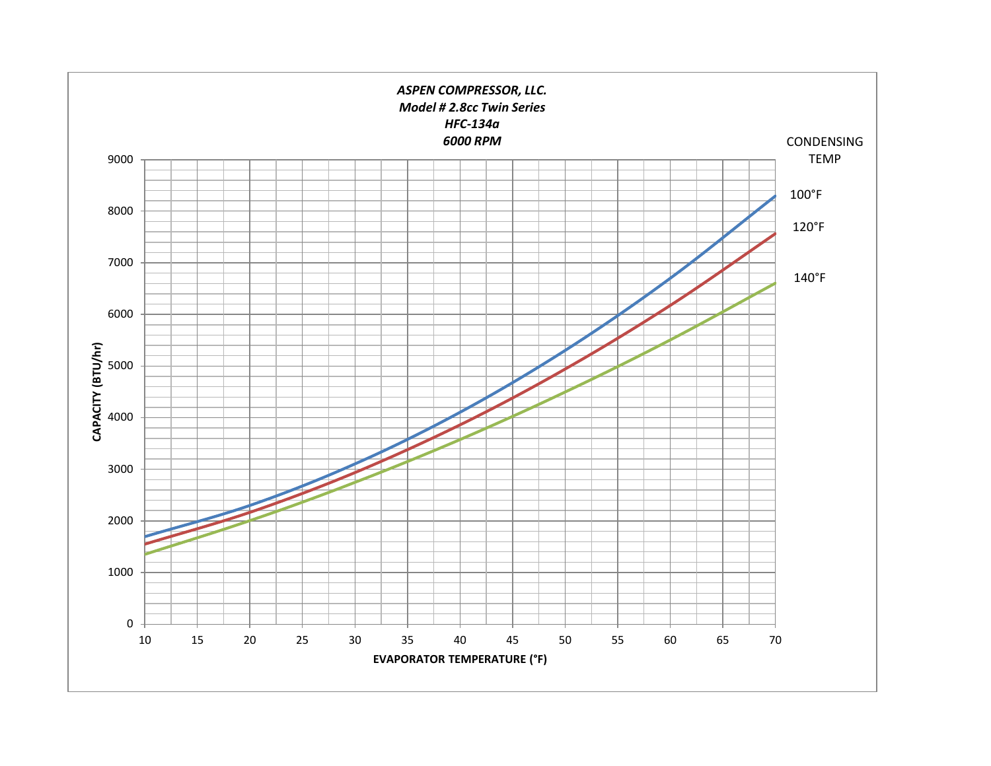